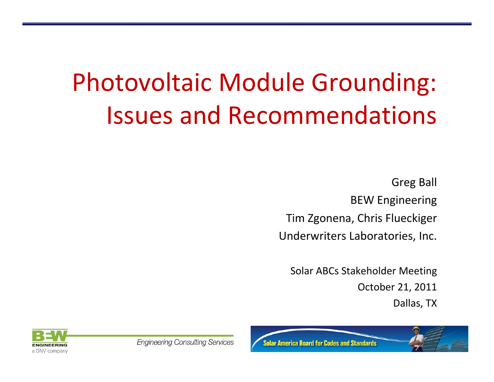# Photovoltaic Module Grounding: Issues and Recommendations

Greg Ball BEW Engineering Tim Zgonena, Chris Flueckiger Underwriters Laboratories, Inc.

Solar ABCs Stakeholder Meeting October 21, 2011 Dallas, TX





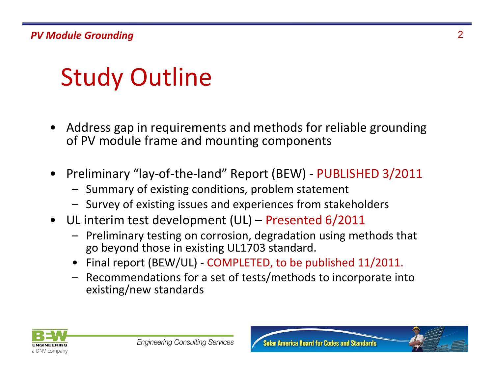# Study Outline

- • Address gap in requirements and methods for reliable grounding of PV module frame and mounting components
- • Preliminary "lay‐of‐the‐land" Report (BEW) ‐ PUBLISHED 3/2011
	- Summary of existing conditions, problem statement
	- Survey of existing issues and experiences from stakeholders
- UL interim test development (UL) Presented 6/2011
	- Preliminary testing on corrosion, degradation using methods that go beyond those in existing UL1703 standard.
	- Final report (BEW/UL) COMPLETED, to be published 11/2011.
	- Recommendations for <sup>a</sup> set of tests/methods to incorporate into existing/new standards

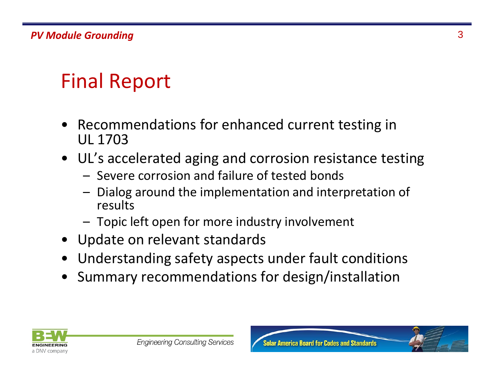## Final Report

- Recommendations for enhanced current testing in UL 1703
- UL's accelerated aging and corrosion resistance testing
	- Severe corrosion and failure of tested bonds
	- – Dialog around the implementation and interpretation of results
	- Topic left open for more industry involvement
- Update on relevant standards
- •Understanding safety aspects under fault conditions
- •Summary recommendations for design/installation



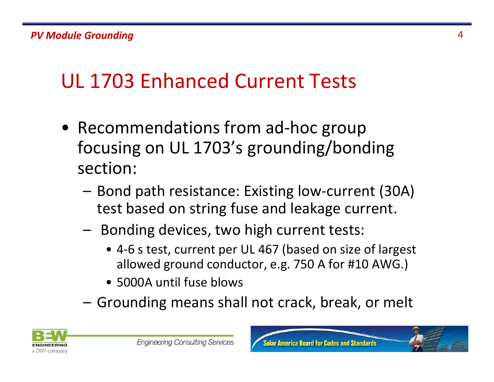## UL 1703 Enhanced Current Tests

- Recommendations from ad‐hoc group focusing on UL 1703's grounding/bonding section:
	- Bond path resistance: Existing low‐current (30A) test based on string fuse and leakage current.
	- – Bonding devices, two high current tests:
		- 4‐6 <sup>s</sup> test, current per UL 467 (based on size of largest allowed ground conductor, e.g. 750 A for #10 AWG.)
		- 5000A until fuse blows
	- –– Grounding means shall not crack, break, or melt

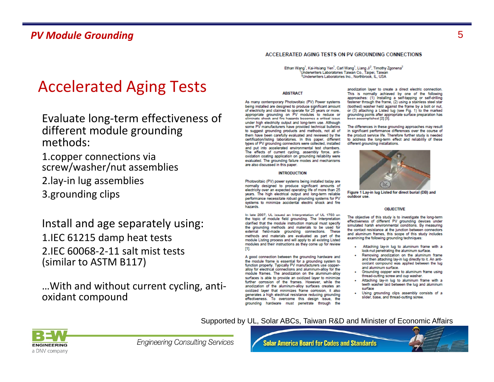### Accelerated Aging Tests

- Evaluate long‐term effectiveness of different module grounding methods:
- 1.copper connections via screw/washer/nut assemblies
- 2.lay‐in lug assemblies
- 3.grounding clips

Install and age separately using: 1.IEC 61215 damp heat tests 2.IEC 60068‐2‐11 salt mist tests (similar to ASTM B117)

…With and without current cycling, anti‐ oxidant compound

#### ACCELERATED AGING TESTS ON PV GROUNDING CONNECTIONS

Ethan Wang<sup>1</sup>, Kai-Hsiang Yen<sup>1</sup>, Carl Wang<sup>1</sup>, Liang Ji<sup>2</sup>, Timothy Zgonena<sup>2</sup> Underwriters Laboratories Taiwan Co., Taipei, Taiwan <sup>2</sup>Underwriters Laboratories Inc., Northbrook, IL, USA

#### **ABSTRACT**

As many contemporary Photovoltaic (PV) Power systems being installed are designed to produce significant amount of electricity and claimed to operate for 25 years or more, appropriate grounding on PV modules to reduce or<br>eliminate shook and fire hazards becomes a oritical issue under high electricity output and long-term use. Although some PV manufacturers have provided technical bulletins to suggest grounding products and methods, not all of them have been carefully evaluated and reviewed by the certification/listing laboratories. In this paper, different types of PV grounding connectors were collected, installed and put into accelerated environmental test chambers. The effects of current cycling, assembly force, antioxidation coating application on grounding reliability were evaluated. The grounding failure modes and mechanisms are also discussed in this paper.

#### **INTRODUCTION**

Photovoltaic (PV) power systems being installed today are normally designed to produce significant amounts of electricity over an expected operating life of more than 25 years. The high electrical output and long-term reliable performance necessitate robust grounding systems for PV systems to minimize accidental electric shock and fire hazards.

In late 2007, UL issued an Interpretation of UL 1703 on the topic of module field grounding. The Interpretation clarified that the module instruction manual must specify the grounding methods and materials to be used for external field-made grounding connections. These methods and materials are evaluated as part of the module Listing process and will apply to all existing Listed modules and their instructions as they come up for review -611.

A good connection between the grounding hardware and the module frame is essential for a grounding system to function properly. Typically PV manufacturers use copperalloy for electrical connections and aluminum-alloy for the module frames. The anodization on the aluminum-alloy surfaces is able to provide an oxidized layer to minimize further corrosion of the frames. However, while the anodization of the aluminum-alloy surfaces creates an oxidized layer that minimizes frame corrosion, it also generates a high electrical resistance reducing grounding effectiveness. To overcome this design issue, the grounding hardware must penetrate through the

anodization layer to create a direct electric connection. This is normally achieved by one of the following approaches: (1) Installing a self-tapping or self-drilling fastener through the frame, (2) using a stainless steel star (toothed) washer held against the frame by a bolt or nut, or (3) attaching a Listed lug (see Fig. 1) to the marked grounding points after appropriate surface preparation has been accomplished [2] [3].

The differences in these grounding approaches may result in significant performance differences over the course of the product service life. Therefore further study is needed to address the long-term effect and reliability of these different grounding installations.



Figure 1 Lay-in lug Listed for direct burial (DB) and outdoor use.

#### **OBJECTIVE**

The objective of this study is to investigate the long-term effectiveness of different PV grounding devices under simulated harsh environmental conditions. By measuring the contact resistance at the junction between connectors and aluminum frames, this scope of this study includes examining the following grounding techniques:

- Attaching lay-in lug to aluminum frame with a lock-nut penetrating the aluminum surface.
- Removing anodization on the aluminum frame and then attaching lay in lug directly to it. An antioxidant compound was applied between the lug and aluminum surface.
- Grounding copper wire to aluminum frame using thread-cutting screw and cup washer.
- Attaching lay-in lug to aluminum frame with a teeth washer laid between the lug and aluminum surface
- Using grounding clips assembly consists of a slider, base, and thread-cutting screw.

### Supported by UL, Solar ABCs, Taiwan R&D and Minister of Economic Affairs



**Engineering Consulting Services** 

**Solar America Board for Codes and Standards**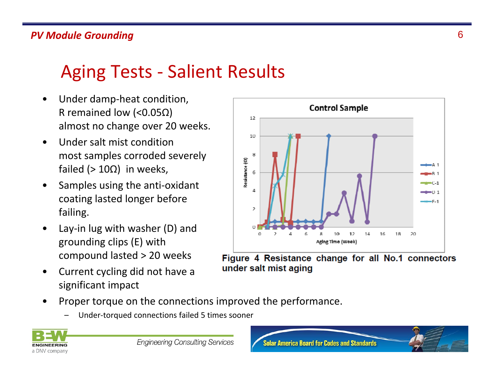### *PV Module Grounding* 6

### Aging Tests - Salient Results

- $\bullet$  Under damp‐heat condition, R remained low (<0.05Ω) almost no change over 20 weeks.
- • Under salt mist conditionmost samples corroded severely failed (> 10Ω) in weeks,
- • Samples using the anti‐oxidant coating lasted longer before failing.
- • Lay‐in lug with washer (D) and grounding clips (E) with compound lasted <sup>&</sup>gt; 20 weeks
- • Current cycling did not have <sup>a</sup> significant impact



Figure 4 Resistance change for all No.1 connectors under salt mist aging

- • Proper torque on the connections improved the performance.
	- –Under‐torqued connections failed 5 times sooner

![](_page_5_Picture_11.jpeg)

![](_page_5_Picture_13.jpeg)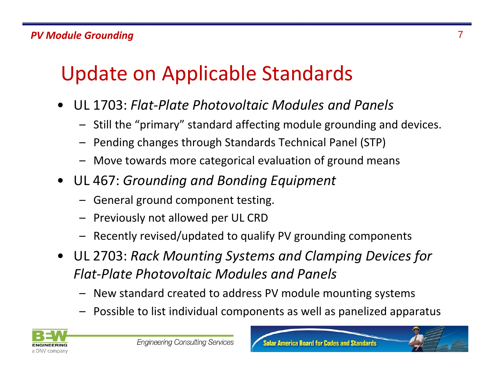## Update on Applicable Standards

- • UL 1703: *Flat‐Plate Photovoltaic Modules and Panels*
	- Still the "primary" standard affecting module grounding and devices.
	- Pending changes through Standards Technical Panel (STP)
	- Move towards more categorical evaluation of ground means
- UL 467: *Grounding and Bonding Equipment*
	- General ground component testing.
	- Previously not allowed per UL CRD
	- –Recently revised/updated to qualify PV grounding components
- UL 2703: *Rack Mounting Systems and Clamp g in Devices for Flat‐Plate Photovoltaic Modules and Panels*
	- New standard created to address PV module mounting systems
	- Possible to list individual components as well as panelized apparatus

![](_page_6_Picture_13.jpeg)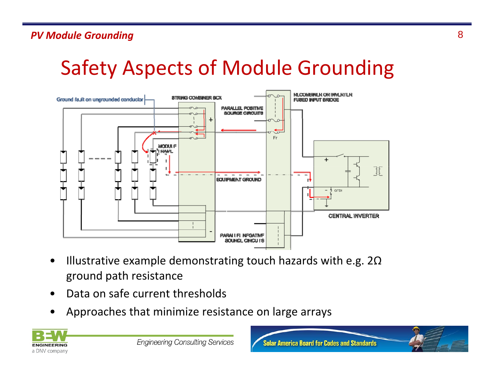### *PV Module Grounding* 8

## Safety Aspects of Module Grounding

![](_page_7_Figure_2.jpeg)

- •Illustrative example demonstrating touch hazards with e.g.  $2\Omega$ ground path resistance
- •Data on safe current thresholds
- •Approaches that minimize resistance on large arrays

![](_page_7_Picture_6.jpeg)

![](_page_7_Picture_8.jpeg)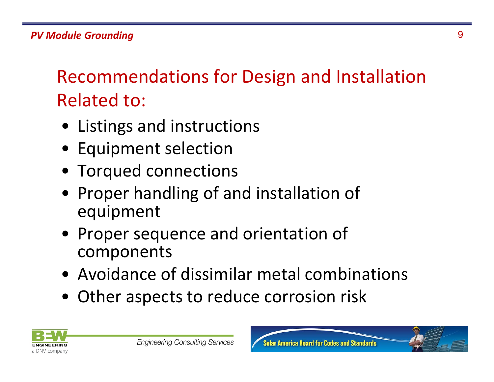Recommendations for Design and Installation Related to:

- Listings and instructions
- Equipment selection
- Torqued connections
- Proper handling of and installation of equipment
- Proper sequence and orientation of components
- Avoidance of dissimilar metal combinations
- Other aspects to reduce corrosion risk

![](_page_8_Picture_9.jpeg)

![](_page_8_Picture_11.jpeg)